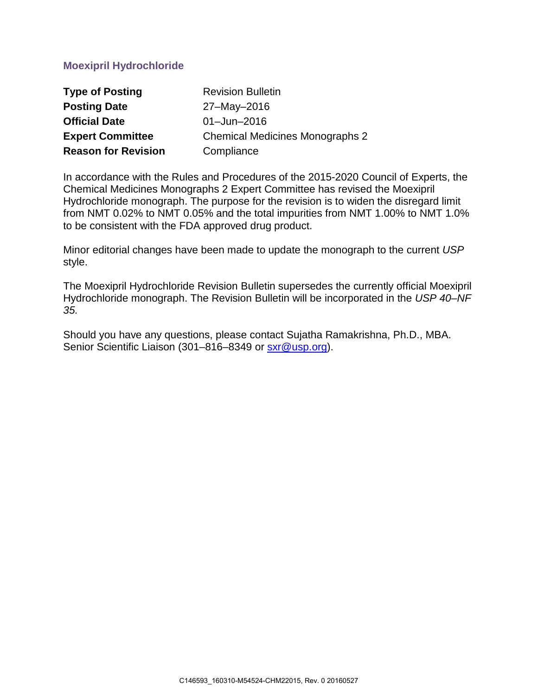## **Moexipril Hydrochloride**

| <b>Type of Posting</b>     | <b>Revision Bulletin</b>               |
|----------------------------|----------------------------------------|
| <b>Posting Date</b>        | 27-May-2016                            |
| <b>Official Date</b>       | $01 - Jun - 2016$                      |
| <b>Expert Committee</b>    | <b>Chemical Medicines Monographs 2</b> |
| <b>Reason for Revision</b> | Compliance                             |

In accordance with the Rules and Procedures of the 2015-2020 Council of Experts, the Chemical Medicines Monographs 2 Expert Committee has revised the Moexipril Hydrochloride monograph. The purpose for the revision is to widen the disregard limit from NMT 0.02% to NMT 0.05% and the total impurities from NMT 1.00% to NMT 1.0% to be consistent with the FDA approved drug product.

Minor editorial changes have been made to update the monograph to the current *USP* style.

The Moexipril Hydrochloride Revision Bulletin supersedes the currently official Moexipril Hydrochloride monograph. The Revision Bulletin will be incorporated in the *USP 40–NF 35.* 

Should you have any questions, please contact Sujatha Ramakrishna, Ph.D., MBA. Senior Scientific Liaison (301–816–8349 or [sxr@usp.org\)](mailto:sxr@usp.org).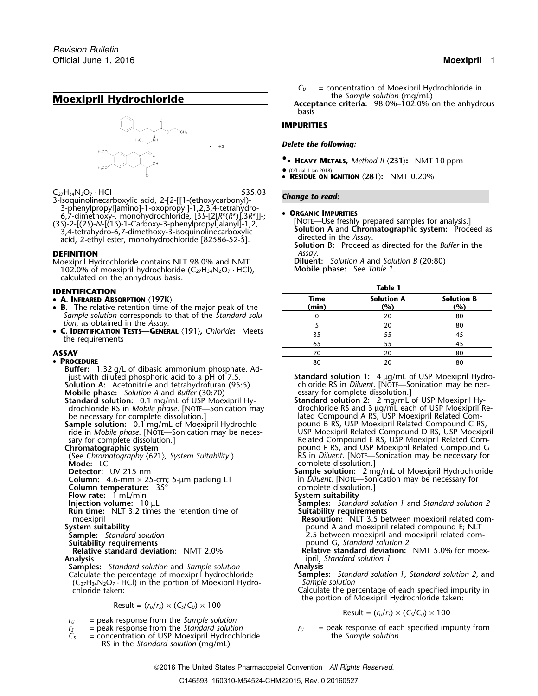## **Moexipril Hydrochloride** the *Sample solution* (mg/mL)



- <sup>C</sup>27H34N2O<sup>7</sup> · HCl 535.03 *Change to read:* 3-Isoquinolinecarboxylic acid, 2-[2-[[1-(ethoxycarbonyl)-
- 3-phenylpropyl]amino]-1-oxopropyl]-1,2,3,4-tetrahydro-<br>
6,7-dimethoxy-, monohydrochloride, [35-[2[ $R^*(R^*)$ ],  $3R^*$ ]]-;<br>
(35)-2-[(25)-N-[(15)-1-Carboxy-3-phenylpropyl]alanyl]-1,2,<br>
3,4-tetrahydro-6,7-dimethoxy-3-isoquinol

**DEFINITION**<br>Moexipril Hydrochloride contains NLT 98.0% and NMT **Diluent:** Solution A and Solution B (20:80) Moexipril Hydrochloride contains NLT 98.0% and NMT **Diluent:** *Solution A* and *Solu*<br>102.0% of moexipril hydrochloride (C<sub>27</sub>H<sub>34</sub>N<sub>2</sub>O<sub>7</sub> · HCl), **Mobile phase:** See Table 1. 102.0% of moexipril hydrochloride (C<sub>27</sub>H<sub>34</sub>N<sub>2</sub>O<sub>7</sub> · HCl), calculated on the anhydrous basis.

# **Table 1 IDENTIFICATION**

- 
- **B.** The relative retention time of the major peak of the **(min) (%) (%)** *Sample solution* corresponds to that of the *Standard solution*, as obtained in the *Assay*.
- •**C. IDENTIFICATION TESTS—GENERAL**  $\langle 191 \rangle$ , *Chloride*: Meets the requirements

- **Buffer:** 1.32 g/L of dibasic ammonium phosphate. Ad-<br>just with diluted phosphoric acid to a pH of 7.5. **Solution A:** Acetonitrile and tetrahydrofuran (95:5) chloride RS in *Diluent*. [NOTE—Sonication may be nec-
- **Mobile phase:** *Solution A* and *Buffer* (30:70) essary for complete dissolution.]<br>**Standard solution:** 0.1 mg/mL of USP Moexipril Hy-<br>**Standard solution 2:** 2 mg/mL
- 
- **Sample solution:** 0.1 mg/mL of Moexipril Hydrochlo- pound B RS, USP Moexipril Related Compound C RS,
- 
- **Mode:** LC complete dissolution.]<br> **Detector:** UV 215 nm
- 
- 
- **Column temperature:** 35° complete dissolution.]
- **Flow rate:** 1 mL/min **System suitability**
- 
- **Run time:** NLT 3.2 times the retention time of
- 
- 
- 
- **Suitability requirements**<br> **Relative standard deviation:** NMT 2.0% **1988 Relative standard deviation:**

- **Analysis** ipril, *Standard solution 1*
- Calculate the percentage of moexipril hydrochloride **Samples:** *Stand* **Samples:** *Stand* (C<sub>22</sub>H<sub>34</sub>N<sub>2</sub>O<sub>2</sub>, HCl) in the portion of Moexipril Hydro- *Sample solution* (C27H34N2O<sup>7</sup> · HCl) in the portion of Moexipril Hydro- *Sample solution*

$$
Result = (r_U/r_S) \times (C_S/C_U) \times 100
$$

- $r_U$  = peak response from the *Sample solution*<br> $r_S$  = peak response from the *Standard solution*
- 
- $=$  concentration of USP Moexipril Hydrochloride RS in the *Standard solution* (mg/mL)

 $C_U$  = concentration of Moexipril Hydrochloride in the Sample solution (mg/mL) **Acceptance criteria:** 98.0%–102.0% on the anhydrous

basis

## **IMPURITIES**

### *Delete the following:*

- **•. HEAVY METALS,** *Method II* 〈**231**〉**:** NMT 10 ppm
- • (Official 1-Jan-2018) • **RESIDUE ON IGNITION** 〈**281**〉**:** NMT 0.20%

| IVEN I IFILAHUN                                                                                                     |                      |                          |                          |
|---------------------------------------------------------------------------------------------------------------------|----------------------|--------------------------|--------------------------|
| • A. Infrared Absorption $\langle 197K\rangle$<br>$\bullet$ B. The relative retention time of the major peak of the | <b>Time</b><br>(min) | <b>Solution A</b><br>(%) | <b>Solution B</b><br>(%) |
| Sample solution corresponds to that of the Standard solu-<br>tion, as obtained in the Assay.                        |                      | 20                       | 80                       |
|                                                                                                                     |                      | 20                       | 80                       |
| • C. IDENTIFICATION TESTS-GENERAL (191), Chloride: Meets                                                            |                      |                          |                          |
| the requirements                                                                                                    | -65                  |                          |                          |
| ASSAY                                                                                                               | 70                   | 20                       | 80                       |
| • PROCEDURE                                                                                                         | 80                   |                          |                          |

just with diluted phosphoric acid to a pH of 7.5. **Standard solution 1:**<sup>4</sup> µg/mL of USP Moexipril Hydro-

**Standard solution:** 0.1 mg/mL of USP Moexipril Hy- **Standard solution 2:**<sup>2</sup> mg/mL of USP Moexipril Hydrochloride RS in *Mobile phase*. [NOTE—Sonication may drochloride RS and 3 µg/mL each of USP Moexipril Rebe necessary for complete dissolution.] lated Compound A RS, USP Moexipril Related Comride in *Mobile phase*. [NOTE—Sonication may be neces- USP Moexipril Related Compound D RS, USP Moexipril sary for complete dissolution.] Related Compound E RS, USP Moexipril Related Com-**Chromatographic system pound F RS, and USP Moexipril Related Compound G** (See *Chromatography* 〈621〉*, System Suitability*.) RS in *Diluent*. [NOTE—Sonication may be necessary for

**Detector:** UV 215 nm **Sample solution:** 2 mg/mL of Moexipril Hydrochloride **Column:** 4.6-mm × 25-cm; 5-µm packing L1 in *Diluent*. [NOTE—Sonication may be necessary for

- **Injection volume:** 10 µL **Samples:** *Standard solution 1* and *Standard solution 2* **Run time:** NLT 3.2 times the retention time of **Suitability requirements**
- moexipril **Resolution:** NLT 3.5 between moexipril related com-**System suitability** pound A and moexipril related compound E; NLT **Sample:** *Standard solution*<br> **Suitability requirements**<br> **Suitability requirements**<br> **Suitability requirements** 
	- **Relative standard deviation: NMT 5.0% for moex-**

- **Samples:** *Standard solution* and *Sample solution* **Analysis**
- chloride taken: Calculate the percentage of each specified impurity in the portion of Moexipril Hydrochloride taken:

$$
Result = (r_U/r_S) \times (C_S/C_U) \times 100
$$

 $r_s$  = peak response from the *Standard solution*  $r_U$  = peak response of each specified impurity from  $C_s$  = concentration of USP Moexipril Hydrochloride the *Sample solution*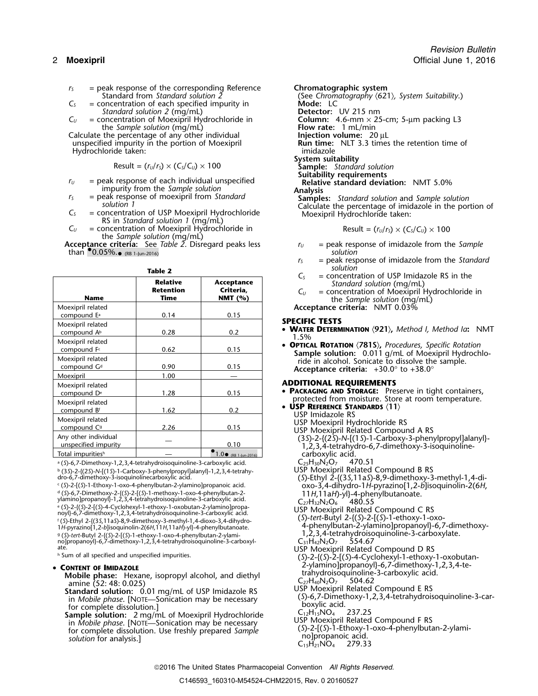- *r*<sub>S</sub> = peak response of the corresponding Reference **Chromatographic system**<br>Standard from Standard solution 2 (See Chromatography  $\langle 62 \rangle$
- *C<sub>S</sub>* = concentration of each specified impurity in **Mode:** LC *Standard solution 2* (mg/mL) **Detector:** UV 215 nm
- *Standard solution 2* (mg/mL)<br>= concentration of Moexipril Hydrochloride in  $C_U$  = concentration of Moexipril Hydrochloride in **Column:** 4.6-mm × 25-cm; 5-µm packing L3<br>the *Sample solution* (mg/mL) **Flow rate:** 1 mL/min

Calculate the percentage of any other individual unspecified impurity in the portion of Moexipril Hydrochloride taken:<br>System suitability and the second system suitability

$$
Result = (r_U/r_S) \times (C_S/C_U) \times 100
$$

- *<sup>r</sup><sup>U</sup>* = peak response of each individual unspecified **Relative standard deviation:** NMT 5.0%
- impurity from the *Sample solution*<br>peak response of moexipril from *Standard* **Analysis**<br>**Sample**
- 
- *C*<sub>*U*</sub> = concentration of Moexipril Hydrochloride in the *Sample solution* (mg/mL)

**Acceptance criteria:** See *Table 2*. Disregard peaks less *<sup>r</sup><sup>U</sup>* = peak response of imidazole from the *Sample* than  $\bullet$  0.05%.<sub> $\bullet$  (RB 1-Jun-2016)</sub>  $\bullet$  **solution solution** 

|                                              |                                             |                                       | Lς<br>$=$ concentration of USP imidazole RS in the                                                                             |
|----------------------------------------------|---------------------------------------------|---------------------------------------|--------------------------------------------------------------------------------------------------------------------------------|
| <b>Name</b>                                  | <b>Relative</b><br><b>Retention</b><br>Time | Acceptance<br>Criteria,<br>NMT $(% )$ | Standard solution (mg/mL)<br>= concentration of Moexipril Hydrochloride in<br>$C_{U}$<br>the Sample solution (mg/mL)           |
| Moexipril related<br>compound E <sup>a</sup> | 0.14                                        | 0.15                                  | Acceptance criteria: NMT 0.03%                                                                                                 |
| Moexipril related<br>compound A <sup>b</sup> | 0.28                                        | 0.2                                   | <b>SPECIFIC TESTS</b><br>• WATER DETERMINATION $(921)$ , Method I, Method Ia: N<br>1.5%                                        |
| Moexipril related<br>compound Fc             | 0.62                                        | 0.15                                  | • OPTICAL ROTATION $\langle 781S \rangle$ , Procedures, Specific Rotation<br>Sample solution: 0.011 g/mL of Moexipril Hydrochl |
| Moexipril related<br>compound G <sup>d</sup> | 0.90                                        | 0.15                                  | ride in alcohol. Sonicate to dissolve the sample.<br>Acceptance criteria: $+30.0^{\circ}$ to $+38.0^{\circ}$                   |
| Moexipril                                    | 1.00                                        |                                       |                                                                                                                                |
| Moexipril related<br>compound D <sup>e</sup> | 1.28                                        | 0.15                                  | <b>ADDITIONAL REQUIREMENTS</b><br>• PACKAGING AND STORAGE: Preserve in tight containers,                                       |
| Moexipril related<br>compound Bf             | 1.62                                        | 0.2                                   | protected from moisture. Store at room temperature.<br>• USP REFERENCE STANDARDS (11)<br>USP Imidazole RS                      |
| Moexipril related<br>compound C <sup>9</sup> | 2.26                                        | 0.15                                  | USP Moexipril Hydrochloride RS<br>USP Moexipril Related Compound A RS                                                          |
| Any other individual<br>unspecified impurity |                                             | 0.10                                  | (3S)-2-{(2S)-N-[(1S)-1-Carboxy-3-phenylpropyl]alany<br>1,2,3,4-tetrahydro-6,7-dimethoxy-3-isoquinoline-                        |
| Total impuritiesh                            |                                             | $1.0 \cdot$ (RB 1-Jun-2016)           | carboxylic acid.<br>$1 - 2 - 7$                                                                                                |

a. (*S*)-6,7-Dimethoxy-1,2,3,4-tetrahydroisoquinoline-3-carboxylic acid. C25H30N2O<sup>7</sup> 470.51 b. (3*S*)-2-{(2*S*)-*N*-[(1*S*)-1-Carboxy-3-phenylpropyl]alanyl}-1,2,3,4-tetrahy- USP Moexipril Related Compound B RS

 $\epsilon$  (S)-2-[(S)-1-Ethoxy-1-oxo-4-phenylbutan-2-ylamino]propanoic acid. . (*S*)-2-[(*S*)-1-Ethoxy-1-oxo-4-phenylbutan-2-ylamino]propanoic acid. oxo-3,4-dihydro-1*H*-pyrazino[1,2-*b*]isoquinolin-2(6*H*, d. (*S*)-6,7-Dimethoxy-2-{(*S*)-2-[(*S*)-1-methoxy-1-oxo-4-phenylbutan-2- <sup>11</sup>*H*,11a*H*)-yl}-4-phenylbutanoate. <sup>y</sup>lamino]propanoyl}-1,2,3,4-tetrahydroisoquinoline-3-carboxylic acid. <sup>C</sup>27H32N2O<sup>6</sup> 480.55 e. (*S*)-2-{(*S*)-2-[(*S*)-4-Cyclohexyl-1-ethoxy-1-oxobutan-2-ylamino]propa- USP Moexipril Related Compound C RS noyl}-6,7-dimethoxy-1,2,3,4-tetrahydroisoquinoline-3-carboxylic acid. (*S*)-*tert*-Butyl 2-{(*S*)-2-[(*S*)-1-ethoxy-1-oxo- <sup>f</sup> . (*S*)-Ethyl 2-{(3*S*,11a*S*)-8,9-dimethoxy-3-methyl-1,4-dioxo-3,4-dihydro-<sup>1</sup>*<sup>H</sup>* 4-phenylbutan-2-ylamino]propanoyl}-6,7-dimethoxy- -pyrazino[1,2-*b*]isoquinolin-2(6*H*,11*H*,11a*H*)-yl}-4-phenylbutanoate. g (5)-tert-Butyl 2-((5)-2-((5)-1-ethoxy-1-oxo-4-phenylbutan-2-ylami-<br>no]propanoyl}-6,7-dimethoxy-1,2,3,4-tetrahydroisoquinoline-3-carboxyl- C<sub>31</sub>H<sub>42</sub>N<sub>2</sub>O<sub>7</sub> 554.67 ate.<br>h Sum of all specified and unspecified impurities.<br>(S)-2-{(S)-2-{(S)-2-{(S)-4-Cyclohexyl-1-ethoxy-

### **CONTENT OF IMIDAZOLE**

- 
- **EXECUTE THE SURVEL SAMPLE PASSE:** Hexane, isopropyl alcohol, and diethyl<br>
amine (52: 48: 0.025)<br> **Standard solution:** 0.01 mg/mL of USP Imidazole RS<br>
in Mobile phase. [NOTE—Sonication may be necessary<br> **Standard solution**

Stand Chromatography  $\langle 621 \rangle$ , System Suitability.)<br>Mode: LC the *Sample solution* (mg/mL) **Flow rate:** 1 mL/min the percentage of any other individual **Figure 1 m Flow rate:** 20 µL **Run time:** NLT 3.3 times the retention time of imidazole **System suitability** Result = (*<sup>r</sup>U*/*<sup>r</sup>S*) × (*CS*/*CU*) ×<sup>100</sup> **Sample:** *Standard solution* **Suitability requirements**

 $r_s$  = peak response of moexipril from Standard<br>solution 1<br>C<sub>s</sub> = concentration of USP Moexipril Hydrochloride<br>RS in Standard solution 1 (mg/mL)<br>RS in Standard solution 1 (mg/mL)

$$
Result = (r_U/r_S) \times (C_S/C_U) \times 100
$$

- 
- *<sup>r</sup><sup>S</sup>* = peak response of imidazole from the *Standard* **Table 2** *Solution*<br> $C_5$  = concentration of USP Imidazole RS in the
	-
	- *C<sub>U</sub>* = concentration of Moexipril Hydrochloride in<br>the *Sample solution* (mg/mL)

### Moexipril related **SPECIFIC TESTS**

- •**WATER DETERMINATION**  $\langle 921 \rangle$ , *Method I, Method Ia*: NMT<br>1.5%<br>**OPTICAL ROTATION**  $\langle 7815 \rangle$ , *Procedures, Specific Rotation*
- **Sample solution:** 0.011 g/mL of Moexipril Hydrochloride in alcohol. Sonicate to dissolve the sample. Acceptance criteria: +30.0° to +38.0°

### **ADDITIONAL REQUIREMENTS**

- protected from moisture. Store at room temperature.
- 
- **USP REFERENCE STANDARDS**  $\langle 11 \rangle$ <br>USP Imidazole RS
	-
- USP Moexipril Hydrochloride RS<br>USP Moexipril Related Compound A RS
- (3*S*)-2-{(2*S*)-*N*-[(1*S*)-1-Carboxy-3-phenylpropyl]alanyl}- 1,2,3,4-tetrahydro-6,7-dimethoxy-3-isoquinoline-(Carboxylic acid.<br>C<sub>25</sub>H<sub>30</sub>N<sub>2</sub>O<sub>7</sub> 470.51
- 
- dro-6,7-dimethoxy-3-isoquinolinecarboxylic acid. (*S*)-Ethyl 2-{(3*S*,11a*S*)-8,9-dimethoxy-3-methyl-1,4-di-
	-
	-
	-
	-
	-
	-
- . Sum of all specified and unspecified impurities. (*S*)-2-{(*S*)-2-[(*S*)-4-Cyclohexyl-1-ethoxy-1-oxobutan-• CONTENT OF IMIDAZOLE  $\sim$  2-ylamino]propanoyl}-6,7-dimethoxy-1,2,3,4-te-
	-
	-
	-
	-
	-
	-
	-